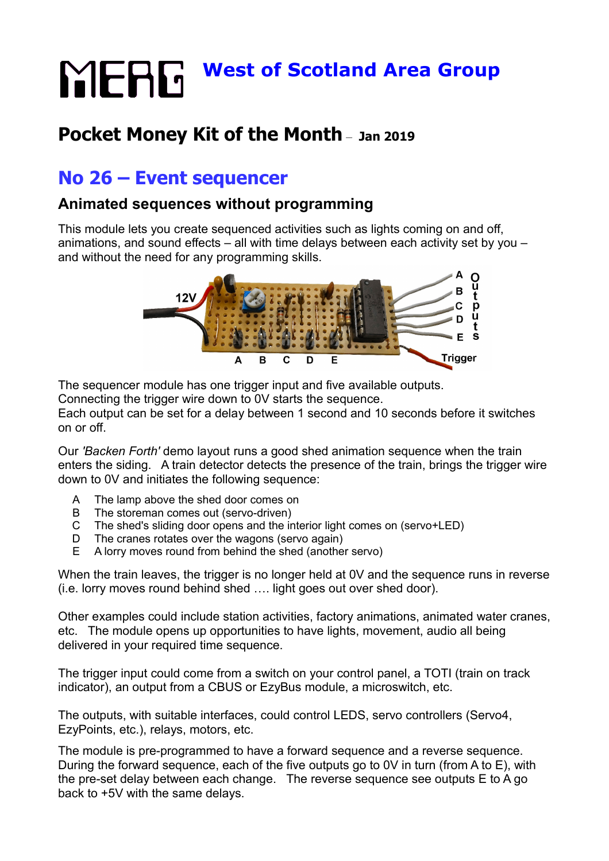# **MERG** West of Scotland Area Group

# **Pocket Money Kit of the Month** – **Jan 2019**

# **No 26 – Event sequencer**

## **Animated sequences without programming**

This module lets you create sequenced activities such as lights coming on and off, animations, and sound effects – all with time delays between each activity set by you – and without the need for any programming skills.



The sequencer module has one trigger input and five available outputs.

Connecting the trigger wire down to 0V starts the sequence.

Each output can be set for a delay between 1 second and 10 seconds before it switches on or off.

Our *'Backen Forth'* demo layout runs a good shed animation sequence when the train enters the siding. A train detector detects the presence of the train, brings the trigger wire down to 0V and initiates the following sequence:

- A The lamp above the shed door comes on
- B The storeman comes out (servo-driven)
- C The shed's sliding door opens and the interior light comes on (servo+LED)
- D The cranes rotates over the wagons (servo again)
- E A lorry moves round from behind the shed (another servo)

When the train leaves, the trigger is no longer held at 0V and the sequence runs in reverse (i.e. lorry moves round behind shed …. light goes out over shed door).

Other examples could include station activities, factory animations, animated water cranes, etc. The module opens up opportunities to have lights, movement, audio all being delivered in your required time sequence.

The trigger input could come from a switch on your control panel, a TOTI (train on track indicator), an output from a CBUS or EzyBus module, a microswitch, etc.

The outputs, with suitable interfaces, could control LEDS, servo controllers (Servo4, EzyPoints, etc.), relays, motors, etc.

The module is pre-programmed to have a forward sequence and a reverse sequence. During the forward sequence, each of the five outputs go to 0V in turn (from A to E), with the pre-set delay between each change. The reverse sequence see outputs E to A go back to +5V with the same delays.